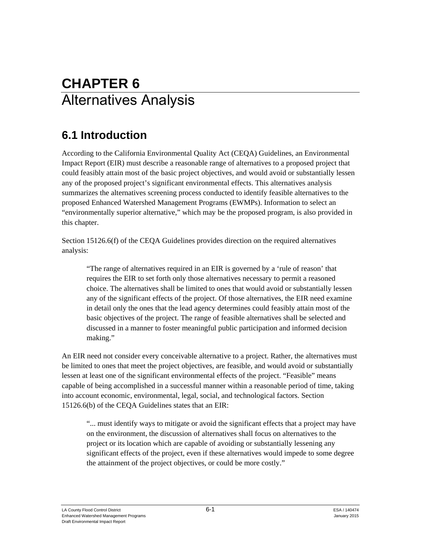# **CHAPTER 6**  Alternatives Analysis

# **6.1 Introduction**

According to the California Environmental Quality Act (CEQA) Guidelines, an Environmental Impact Report (EIR) must describe a reasonable range of alternatives to a proposed project that could feasibly attain most of the basic project objectives, and would avoid or substantially lessen any of the proposed project's significant environmental effects. This alternatives analysis summarizes the alternatives screening process conducted to identify feasible alternatives to the proposed Enhanced Watershed Management Programs (EWMPs). Information to select an "environmentally superior alternative," which may be the proposed program, is also provided in this chapter.

Section 15126.6(f) of the CEQA Guidelines provides direction on the required alternatives analysis:

"The range of alternatives required in an EIR is governed by a 'rule of reason' that requires the EIR to set forth only those alternatives necessary to permit a reasoned choice. The alternatives shall be limited to ones that would avoid or substantially lessen any of the significant effects of the project. Of those alternatives, the EIR need examine in detail only the ones that the lead agency determines could feasibly attain most of the basic objectives of the project. The range of feasible alternatives shall be selected and discussed in a manner to foster meaningful public participation and informed decision making."

An EIR need not consider every conceivable alternative to a project. Rather, the alternatives must be limited to ones that meet the project objectives, are feasible, and would avoid or substantially lessen at least one of the significant environmental effects of the project. "Feasible" means capable of being accomplished in a successful manner within a reasonable period of time, taking into account economic, environmental, legal, social, and technological factors. Section 15126.6(b) of the CEQA Guidelines states that an EIR:

"... must identify ways to mitigate or avoid the significant effects that a project may have on the environment, the discussion of alternatives shall focus on alternatives to the project or its location which are capable of avoiding or substantially lessening any significant effects of the project, even if these alternatives would impede to some degree the attainment of the project objectives, or could be more costly."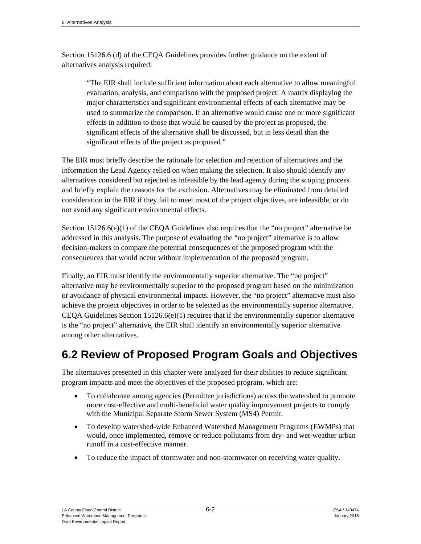Section 15126.6 (d) of the CEQA Guidelines provides further guidance on the extent of alternatives analysis required:

"The EIR shall include sufficient information about each alternative to allow meaningful evaluation, analysis, and comparison with the proposed project. A matrix displaying the major characteristics and significant environmental effects of each alternative may be used to summarize the comparison. If an alternative would cause one or more significant effects in addition to those that would be caused by the project as proposed, the significant effects of the alternative shall be discussed, but in less detail than the significant effects of the project as proposed."

The EIR must briefly describe the rationale for selection and rejection of alternatives and the information the Lead Agency relied on when making the selection. It also should identify any alternatives considered but rejected as infeasible by the lead agency during the scoping process and briefly explain the reasons for the exclusion. Alternatives may be eliminated from detailed consideration in the EIR if they fail to meet most of the project objectives, are infeasible, or do not avoid any significant environmental effects.

Section  $15126.6(e)(1)$  of the CEOA Guidelines also requires that the "no project" alternative be addressed in this analysis. The purpose of evaluating the "no project" alternative is to allow decision-makers to compare the potential consequences of the proposed program with the consequences that would occur without implementation of the proposed program.

Finally, an EIR must identify the environmentally superior alternative. The "no project" alternative may be environmentally superior to the proposed program based on the minimization or avoidance of physical environmental impacts. However, the "no project" alternative must also achieve the project objectives in order to be selected as the environmentally superior alternative. CEQA Guidelines Section  $15126.6(e)(1)$  requires that if the environmentally superior alternative is the "no project" alternative, the EIR shall identify an environmentally superior alternative among other alternatives.

# **6.2 Review of Proposed Program Goals and Objectives**

The alternatives presented in this chapter were analyzed for their abilities to reduce significant program impacts and meet the objectives of the proposed program, which are:

- To collaborate among agencies (Permittee jurisdictions) across the watershed to promote more cost-effective and multi-beneficial water quality improvement projects to comply with the Municipal Separate Storm Sewer System (MS4) Permit.
- To develop watershed-wide Enhanced Watershed Management Programs (EWMPs) that would, once implemented, remove or reduce pollutants from dry- and wet-weather urban runoff in a cost-effective manner.
- To reduce the impact of stormwater and non-stormwater on receiving water quality.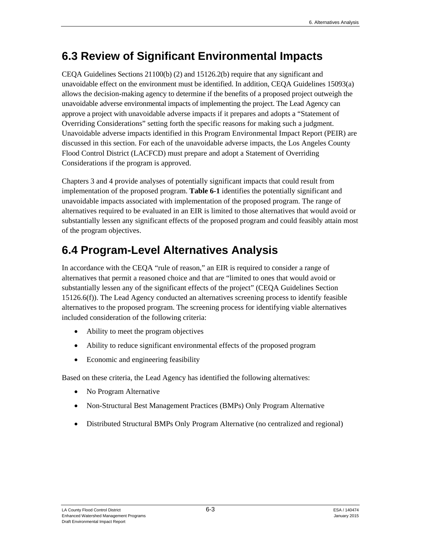# **6.3 Review of Significant Environmental Impacts**

CEQA Guidelines Sections 21100(b) (2) and 15126.2(b) require that any significant and unavoidable effect on the environment must be identified. In addition, CEQA Guidelines 15093(a) allows the decision-making agency to determine if the benefits of a proposed project outweigh the unavoidable adverse environmental impacts of implementing the project. The Lead Agency can approve a project with unavoidable adverse impacts if it prepares and adopts a "Statement of Overriding Considerations" setting forth the specific reasons for making such a judgment. Unavoidable adverse impacts identified in this Program Environmental Impact Report (PEIR) are discussed in this section. For each of the unavoidable adverse impacts, the Los Angeles County Flood Control District (LACFCD) must prepare and adopt a Statement of Overriding Considerations if the program is approved.

Chapters 3 and 4 provide analyses of potentially significant impacts that could result from implementation of the proposed program. **Table 6-1** identifies the potentially significant and unavoidable impacts associated with implementation of the proposed program. The range of alternatives required to be evaluated in an EIR is limited to those alternatives that would avoid or substantially lessen any significant effects of the proposed program and could feasibly attain most of the program objectives.

# **6.4 Program-Level Alternatives Analysis**

In accordance with the CEQA "rule of reason," an EIR is required to consider a range of alternatives that permit a reasoned choice and that are "limited to ones that would avoid or substantially lessen any of the significant effects of the project" (CEQA Guidelines Section 15126.6(f)). The Lead Agency conducted an alternatives screening process to identify feasible alternatives to the proposed program. The screening process for identifying viable alternatives included consideration of the following criteria:

- Ability to meet the program objectives
- Ability to reduce significant environmental effects of the proposed program
- Economic and engineering feasibility

Based on these criteria, the Lead Agency has identified the following alternatives:

- No Program Alternative
- Non-Structural Best Management Practices (BMPs) Only Program Alternative
- Distributed Structural BMPs Only Program Alternative (no centralized and regional)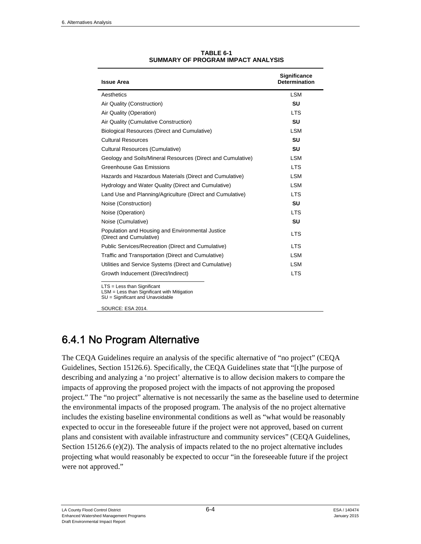| <b>Issue Area</b>                                                                                                                                    | <b>Significance</b><br><b>Determination</b> |
|------------------------------------------------------------------------------------------------------------------------------------------------------|---------------------------------------------|
| Aesthetics                                                                                                                                           | <b>LSM</b>                                  |
| Air Quality (Construction)                                                                                                                           | SU                                          |
| Air Quality (Operation)                                                                                                                              | <b>LTS</b>                                  |
| Air Quality (Cumulative Construction)                                                                                                                | <b>SU</b>                                   |
| <b>Biological Resources (Direct and Cumulative)</b>                                                                                                  | <b>LSM</b>                                  |
| <b>Cultural Resources</b>                                                                                                                            | SU                                          |
| Cultural Resources (Cumulative)                                                                                                                      | <b>SU</b>                                   |
| Geology and Soils/Mineral Resources (Direct and Cumulative)                                                                                          | <b>LSM</b>                                  |
| <b>Greenhouse Gas Emissions</b>                                                                                                                      | <b>LTS</b>                                  |
| Hazards and Hazardous Materials (Direct and Cumulative)                                                                                              | <b>LSM</b>                                  |
| Hydrology and Water Quality (Direct and Cumulative)                                                                                                  | <b>LSM</b>                                  |
| Land Use and Planning/Agriculture (Direct and Cumulative)                                                                                            | <b>LTS</b>                                  |
| Noise (Construction)                                                                                                                                 | SU                                          |
| Noise (Operation)                                                                                                                                    | <b>LTS</b>                                  |
| Noise (Cumulative)                                                                                                                                   | SU                                          |
| Population and Housing and Environmental Justice<br>(Direct and Cumulative)                                                                          | <b>LTS</b>                                  |
| Public Services/Recreation (Direct and Cumulative)                                                                                                   | <b>LTS</b>                                  |
| Traffic and Transportation (Direct and Cumulative)                                                                                                   | <b>LSM</b>                                  |
| Utilities and Service Systems (Direct and Cumulative)                                                                                                | <b>LSM</b>                                  |
| Growth Inducement (Direct/Indirect)                                                                                                                  | <b>LTS</b>                                  |
| $LTS = Less than Significant$<br>$\mathsf{L} \mathsf{C} \mathsf{M}$ $\mathsf{L}$ are then $\mathsf{C}$ inviting the unit $\mathsf{M}$ it is not in a |                                             |

**TABLE 6-1 SUMMARY OF PROGRAM IMPACT ANALYSIS** 

LSM = Less than Significant with Mitigation SU = Significant and Unavoidable

SOURCE: ESA 2014.

# 6.4.1 No Program Alternative

The CEQA Guidelines require an analysis of the specific alternative of "no project" (CEQA Guidelines, Section 15126.6). Specifically, the CEQA Guidelines state that "[t]he purpose of describing and analyzing a 'no project' alternative is to allow decision makers to compare the impacts of approving the proposed project with the impacts of not approving the proposed project." The "no project" alternative is not necessarily the same as the baseline used to determine the environmental impacts of the proposed program. The analysis of the no project alternative includes the existing baseline environmental conditions as well as "what would be reasonably expected to occur in the foreseeable future if the project were not approved, based on current plans and consistent with available infrastructure and community services" (CEQA Guidelines, Section 15126.6  $(e)(2)$ ). The analysis of impacts related to the no project alternative includes projecting what would reasonably be expected to occur "in the foreseeable future if the project were not approved."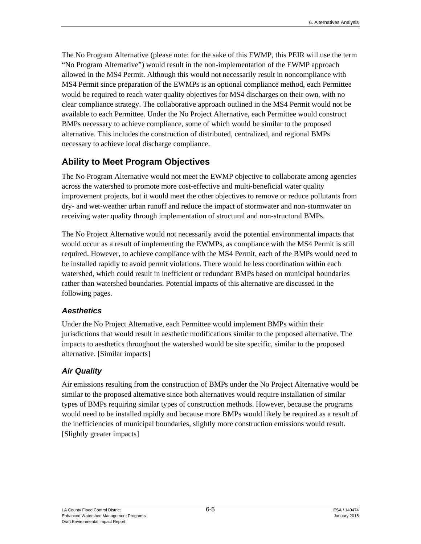The No Program Alternative (please note: for the sake of this EWMP, this PEIR will use the term "No Program Alternative") would result in the non-implementation of the EWMP approach allowed in the MS4 Permit. Although this would not necessarily result in noncompliance with MS4 Permit since preparation of the EWMPs is an optional compliance method, each Permittee would be required to reach water quality objectives for MS4 discharges on their own, with no clear compliance strategy. The collaborative approach outlined in the MS4 Permit would not be available to each Permittee. Under the No Project Alternative, each Permittee would construct BMPs necessary to achieve compliance, some of which would be similar to the proposed alternative. This includes the construction of distributed, centralized, and regional BMPs necessary to achieve local discharge compliance.

# **Ability to Meet Program Objectives**

The No Program Alternative would not meet the EWMP objective to collaborate among agencies across the watershed to promote more cost‐effective and multi‐beneficial water quality improvement projects, but it would meet the other objectives to remove or reduce pollutants from dry- and wet-weather urban runoff and reduce the impact of stormwater and non-stormwater on receiving water quality through implementation of structural and non-structural BMPs.

The No Project Alternative would not necessarily avoid the potential environmental impacts that would occur as a result of implementing the EWMPs, as compliance with the MS4 Permit is still required. However, to achieve compliance with the MS4 Permit, each of the BMPs would need to be installed rapidly to avoid permit violations. There would be less coordination within each watershed, which could result in inefficient or redundant BMPs based on municipal boundaries rather than watershed boundaries. Potential impacts of this alternative are discussed in the following pages.

#### *Aesthetics*

Under the No Project Alternative, each Permittee would implement BMPs within their jurisdictions that would result in aesthetic modifications similar to the proposed alternative. The impacts to aesthetics throughout the watershed would be site specific, similar to the proposed alternative. [Similar impacts]

#### *Air Quality*

Air emissions resulting from the construction of BMPs under the No Project Alternative would be similar to the proposed alternative since both alternatives would require installation of similar types of BMPs requiring similar types of construction methods. However, because the programs would need to be installed rapidly and because more BMPs would likely be required as a result of the inefficiencies of municipal boundaries, slightly more construction emissions would result. [Slightly greater impacts]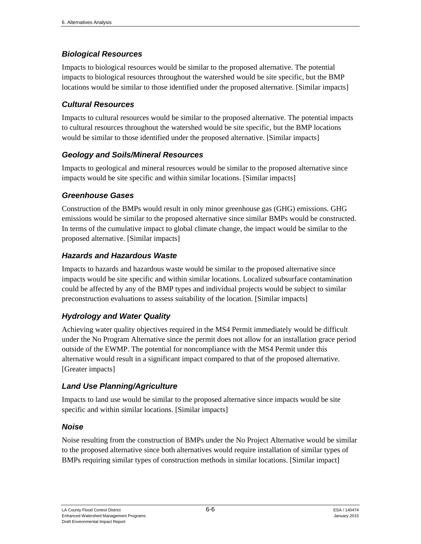#### *Biological Resources*

Impacts to biological resources would be similar to the proposed alternative. The potential impacts to biological resources throughout the watershed would be site specific, but the BMP locations would be similar to those identified under the proposed alternative. [Similar impacts]

# *Cultural Resources*

Impacts to cultural resources would be similar to the proposed alternative. The potential impacts to cultural resources throughout the watershed would be site specific, but the BMP locations would be similar to those identified under the proposed alternative. [Similar impacts]

# *Geology and Soils/Mineral Resources*

Impacts to geological and mineral resources would be similar to the proposed alternative since impacts would be site specific and within similar locations. [Similar impacts]

# *Greenhouse Gases*

Construction of the BMPs would result in only minor greenhouse gas (GHG) emissions. GHG emissions would be similar to the proposed alternative since similar BMPs would be constructed. In terms of the cumulative impact to global climate change, the impact would be similar to the proposed alternative. [Similar impacts]

# *Hazards and Hazardous Waste*

Impacts to hazards and hazardous waste would be similar to the proposed alternative since impacts would be site specific and within similar locations. Localized subsurface contamination could be affected by any of the BMP types and individual projects would be subject to similar preconstruction evaluations to assess suitability of the location. [Similar impacts]

# *Hydrology and Water Quality*

Achieving water quality objectives required in the MS4 Permit immediately would be difficult under the No Program Alternative since the permit does not allow for an installation grace period outside of the EWMP. The potential for noncompliance with the MS4 Permit under this alternative would result in a significant impact compared to that of the proposed alternative. [Greater impacts]

# *Land Use Planning/Agriculture*

Impacts to land use would be similar to the proposed alternative since impacts would be site specific and within similar locations. [Similar impacts]

# *Noise*

Noise resulting from the construction of BMPs under the No Project Alternative would be similar to the proposed alternative since both alternatives would require installation of similar types of BMPs requiring similar types of construction methods in similar locations. [Similar impact]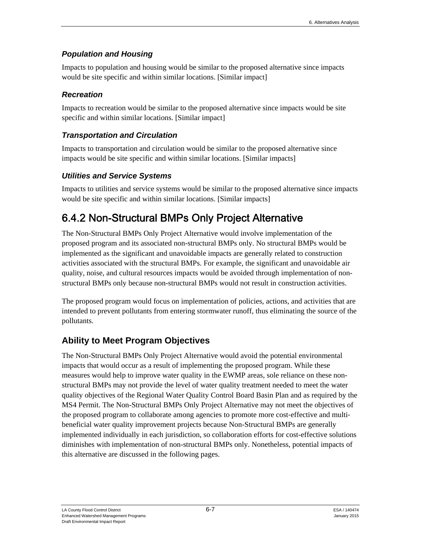#### *Population and Housing*

Impacts to population and housing would be similar to the proposed alternative since impacts would be site specific and within similar locations. [Similar impact]

### *Recreation*

Impacts to recreation would be similar to the proposed alternative since impacts would be site specific and within similar locations. [Similar impact]

# *Transportation and Circulation*

Impacts to transportation and circulation would be similar to the proposed alternative since impacts would be site specific and within similar locations. [Similar impacts]

# *Utilities and Service Systems*

Impacts to utilities and service systems would be similar to the proposed alternative since impacts would be site specific and within similar locations. [Similar impacts]

# 6.4.2 Non-Structural BMPs Only Project Alternative

The Non-Structural BMPs Only Project Alternative would involve implementation of the proposed program and its associated non-structural BMPs only. No structural BMPs would be implemented as the significant and unavoidable impacts are generally related to construction activities associated with the structural BMPs. For example, the significant and unavoidable air quality, noise, and cultural resources impacts would be avoided through implementation of nonstructural BMPs only because non-structural BMPs would not result in construction activities.

The proposed program would focus on implementation of policies, actions, and activities that are intended to prevent pollutants from entering stormwater runoff, thus eliminating the source of the pollutants.

# **Ability to Meet Program Objectives**

The Non-Structural BMPs Only Project Alternative would avoid the potential environmental impacts that would occur as a result of implementing the proposed program. While these measures would help to improve water quality in the EWMP areas, sole reliance on these nonstructural BMPs may not provide the level of water quality treatment needed to meet the water quality objectives of the Regional Water Quality Control Board Basin Plan and as required by the MS4 Permit. The Non-Structural BMPs Only Project Alternative may not meet the objectives of the proposed program to collaborate among agencies to promote more cost-effective and multibeneficial water quality improvement projects because Non-Structural BMPs are generally implemented individually in each jurisdiction, so collaboration efforts for cost-effective solutions diminishes with implementation of non-structural BMPs only. Nonetheless, potential impacts of this alternative are discussed in the following pages.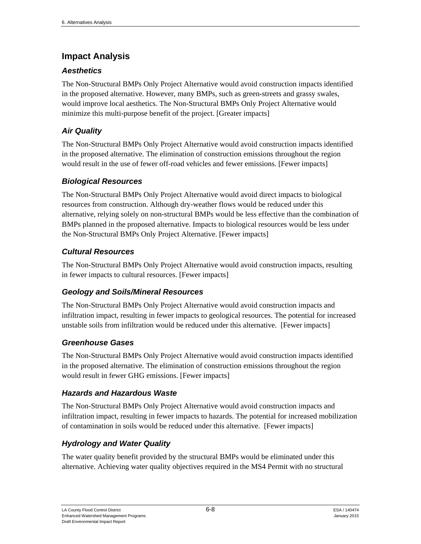# **Impact Analysis**

### *Aesthetics*

The Non-Structural BMPs Only Project Alternative would avoid construction impacts identified in the proposed alternative. However, many BMPs, such as green-streets and grassy swales, would improve local aesthetics. The Non-Structural BMPs Only Project Alternative would minimize this multi-purpose benefit of the project. [Greater impacts]

# *Air Quality*

The Non-Structural BMPs Only Project Alternative would avoid construction impacts identified in the proposed alternative. The elimination of construction emissions throughout the region would result in the use of fewer off-road vehicles and fewer emissions. [Fewer impacts]

# *Biological Resources*

The Non-Structural BMPs Only Project Alternative would avoid direct impacts to biological resources from construction. Although dry-weather flows would be reduced under this alternative, relying solely on non-structural BMPs would be less effective than the combination of BMPs planned in the proposed alternative. Impacts to biological resources would be less under the Non-Structural BMPs Only Project Alternative. [Fewer impacts]

# *Cultural Resources*

The Non-Structural BMPs Only Project Alternative would avoid construction impacts, resulting in fewer impacts to cultural resources. [Fewer impacts]

# *Geology and Soils/Mineral Resources*

The Non-Structural BMPs Only Project Alternative would avoid construction impacts and infiltration impact, resulting in fewer impacts to geological resources. The potential for increased unstable soils from infiltration would be reduced under this alternative. [Fewer impacts]

# *Greenhouse Gases*

The Non-Structural BMPs Only Project Alternative would avoid construction impacts identified in the proposed alternative. The elimination of construction emissions throughout the region would result in fewer GHG emissions. [Fewer impacts]

# *Hazards and Hazardous Waste*

The Non-Structural BMPs Only Project Alternative would avoid construction impacts and infiltration impact, resulting in fewer impacts to hazards. The potential for increased mobilization of contamination in soils would be reduced under this alternative. [Fewer impacts]

# *Hydrology and Water Quality*

The water quality benefit provided by the structural BMPs would be eliminated under this alternative. Achieving water quality objectives required in the MS4 Permit with no structural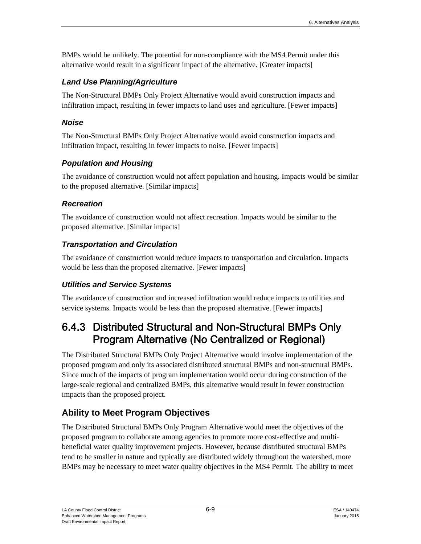BMPs would be unlikely. The potential for non-compliance with the MS4 Permit under this alternative would result in a significant impact of the alternative. [Greater impacts]

#### *Land Use Planning/Agriculture*

The Non-Structural BMPs Only Project Alternative would avoid construction impacts and infiltration impact, resulting in fewer impacts to land uses and agriculture. [Fewer impacts]

#### *Noise*

The Non-Structural BMPs Only Project Alternative would avoid construction impacts and infiltration impact, resulting in fewer impacts to noise. [Fewer impacts]

#### *Population and Housing*

The avoidance of construction would not affect population and housing. Impacts would be similar to the proposed alternative. [Similar impacts]

#### *Recreation*

The avoidance of construction would not affect recreation. Impacts would be similar to the proposed alternative. [Similar impacts]

### *Transportation and Circulation*

The avoidance of construction would reduce impacts to transportation and circulation. Impacts would be less than the proposed alternative. [Fewer impacts]

#### *Utilities and Service Systems*

The avoidance of construction and increased infiltration would reduce impacts to utilities and service systems. Impacts would be less than the proposed alternative. [Fewer impacts]

# 6.4.3 Distributed Structural and Non-Structural BMPs Only Program Alternative (No Centralized or Regional)

The Distributed Structural BMPs Only Project Alternative would involve implementation of the proposed program and only its associated distributed structural BMPs and non-structural BMPs. Since much of the impacts of program implementation would occur during construction of the large-scale regional and centralized BMPs, this alternative would result in fewer construction impacts than the proposed project.

# **Ability to Meet Program Objectives**

The Distributed Structural BMPs Only Program Alternative would meet the objectives of the proposed program to collaborate among agencies to promote more cost-effective and multibeneficial water quality improvement projects. However, because distributed structural BMPs tend to be smaller in nature and typically are distributed widely throughout the watershed, more BMPs may be necessary to meet water quality objectives in the MS4 Permit. The ability to meet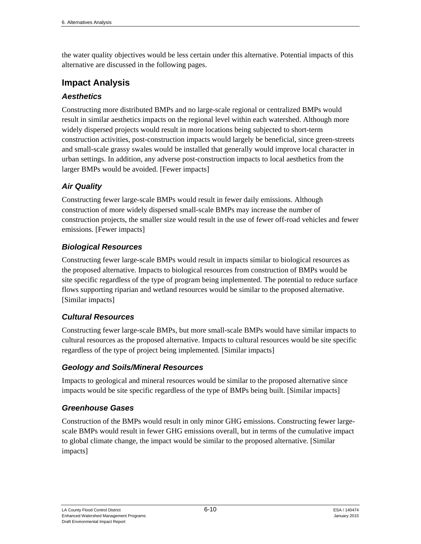the water quality objectives would be less certain under this alternative. Potential impacts of this alternative are discussed in the following pages.

# **Impact Analysis**

### *Aesthetics*

Constructing more distributed BMPs and no large-scale regional or centralized BMPs would result in similar aesthetics impacts on the regional level within each watershed. Although more widely dispersed projects would result in more locations being subjected to short-term construction activities, post-construction impacts would largely be beneficial, since green-streets and small-scale grassy swales would be installed that generally would improve local character in urban settings. In addition, any adverse post-construction impacts to local aesthetics from the larger BMPs would be avoided. [Fewer impacts]

# *Air Quality*

Constructing fewer large-scale BMPs would result in fewer daily emissions. Although construction of more widely dispersed small-scale BMPs may increase the number of construction projects, the smaller size would result in the use of fewer off-road vehicles and fewer emissions. [Fewer impacts]

# *Biological Resources*

Constructing fewer large-scale BMPs would result in impacts similar to biological resources as the proposed alternative. Impacts to biological resources from construction of BMPs would be site specific regardless of the type of program being implemented. The potential to reduce surface flows supporting riparian and wetland resources would be similar to the proposed alternative. [Similar impacts]

#### *Cultural Resources*

Constructing fewer large-scale BMPs, but more small-scale BMPs would have similar impacts to cultural resources as the proposed alternative. Impacts to cultural resources would be site specific regardless of the type of project being implemented. [Similar impacts]

#### *Geology and Soils/Mineral Resources*

Impacts to geological and mineral resources would be similar to the proposed alternative since impacts would be site specific regardless of the type of BMPs being built. [Similar impacts]

#### *Greenhouse Gases*

Construction of the BMPs would result in only minor GHG emissions. Constructing fewer largescale BMPs would result in fewer GHG emissions overall, but in terms of the cumulative impact to global climate change, the impact would be similar to the proposed alternative. [Similar impacts]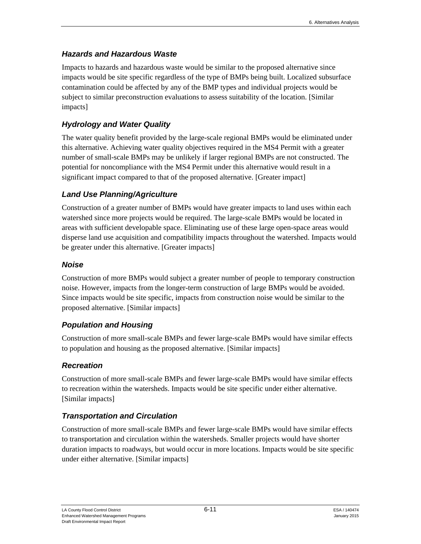#### *Hazards and Hazardous Waste*

Impacts to hazards and hazardous waste would be similar to the proposed alternative since impacts would be site specific regardless of the type of BMPs being built. Localized subsurface contamination could be affected by any of the BMP types and individual projects would be subject to similar preconstruction evaluations to assess suitability of the location. [Similar impacts]

#### *Hydrology and Water Quality*

The water quality benefit provided by the large-scale regional BMPs would be eliminated under this alternative. Achieving water quality objectives required in the MS4 Permit with a greater number of small-scale BMPs may be unlikely if larger regional BMPs are not constructed. The potential for noncompliance with the MS4 Permit under this alternative would result in a significant impact compared to that of the proposed alternative. [Greater impact]

### *Land Use Planning/Agriculture*

Construction of a greater number of BMPs would have greater impacts to land uses within each watershed since more projects would be required. The large-scale BMPs would be located in areas with sufficient developable space. Eliminating use of these large open-space areas would disperse land use acquisition and compatibility impacts throughout the watershed. Impacts would be greater under this alternative. [Greater impacts]

#### *Noise*

Construction of more BMPs would subject a greater number of people to temporary construction noise. However, impacts from the longer-term construction of large BMPs would be avoided. Since impacts would be site specific, impacts from construction noise would be similar to the proposed alternative. [Similar impacts]

#### *Population and Housing*

Construction of more small-scale BMPs and fewer large-scale BMPs would have similar effects to population and housing as the proposed alternative. [Similar impacts]

#### *Recreation*

Construction of more small-scale BMPs and fewer large-scale BMPs would have similar effects to recreation within the watersheds. Impacts would be site specific under either alternative. [Similar impacts]

#### *Transportation and Circulation*

Construction of more small-scale BMPs and fewer large-scale BMPs would have similar effects to transportation and circulation within the watersheds. Smaller projects would have shorter duration impacts to roadways, but would occur in more locations. Impacts would be site specific under either alternative. [Similar impacts]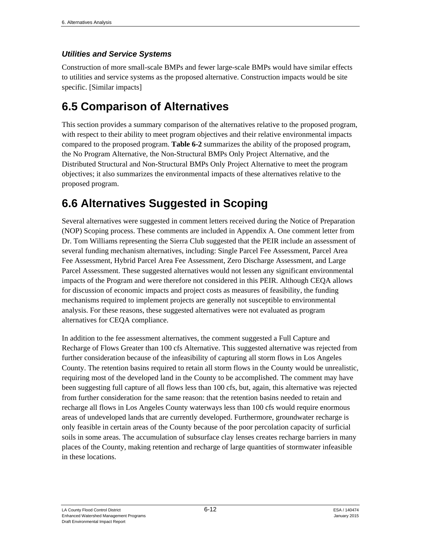#### *Utilities and Service Systems*

Construction of more small-scale BMPs and fewer large-scale BMPs would have similar effects to utilities and service systems as the proposed alternative. Construction impacts would be site specific. [Similar impacts]

# **6.5 Comparison of Alternatives**

This section provides a summary comparison of the alternatives relative to the proposed program, with respect to their ability to meet program objectives and their relative environmental impacts compared to the proposed program. **Table 6-2** summarizes the ability of the proposed program, the No Program Alternative, the Non-Structural BMPs Only Project Alternative, and the Distributed Structural and Non-Structural BMPs Only Project Alternative to meet the program objectives; it also summarizes the environmental impacts of these alternatives relative to the proposed program.

# **6.6 Alternatives Suggested in Scoping**

Several alternatives were suggested in comment letters received during the Notice of Preparation (NOP) Scoping process. These comments are included in Appendix A. One comment letter from Dr. Tom Williams representing the Sierra Club suggested that the PEIR include an assessment of several funding mechanism alternatives, including: Single Parcel Fee Assessment, Parcel Area Fee Assessment, Hybrid Parcel Area Fee Assessment, Zero Discharge Assessment, and Large Parcel Assessment. These suggested alternatives would not lessen any significant environmental impacts of the Program and were therefore not considered in this PEIR. Although CEQA allows for discussion of economic impacts and project costs as measures of feasibility, the funding mechanisms required to implement projects are generally not susceptible to environmental analysis. For these reasons, these suggested alternatives were not evaluated as program alternatives for CEQA compliance.

In addition to the fee assessment alternatives, the comment suggested a Full Capture and Recharge of Flows Greater than 100 cfs Alternative. This suggested alternative was rejected from further consideration because of the infeasibility of capturing all storm flows in Los Angeles County. The retention basins required to retain all storm flows in the County would be unrealistic, requiring most of the developed land in the County to be accomplished. The comment may have been suggesting full capture of all flows less than 100 cfs, but, again, this alternative was rejected from further consideration for the same reason: that the retention basins needed to retain and recharge all flows in Los Angeles County waterways less than 100 cfs would require enormous areas of undeveloped lands that are currently developed. Furthermore, groundwater recharge is only feasible in certain areas of the County because of the poor percolation capacity of surficial soils in some areas. The accumulation of subsurface clay lenses creates recharge barriers in many places of the County, making retention and recharge of large quantities of stormwater infeasible in these locations.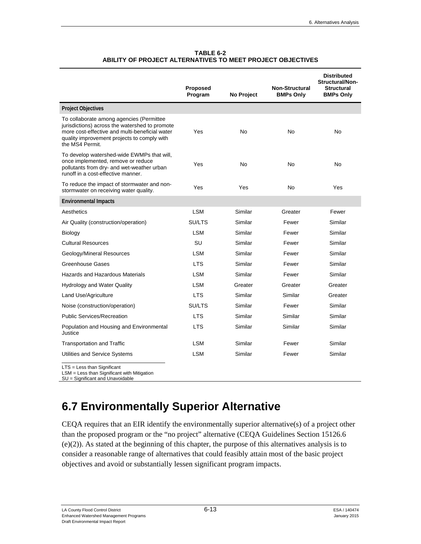|                                                                                                                                                                                                                | Proposed<br>Program | No Project | <b>Non-Structural</b><br><b>BMPs Only</b> | <b>Distributed</b><br><b>Structural/Non-</b><br><b>Structural</b><br><b>BMPs Only</b> |
|----------------------------------------------------------------------------------------------------------------------------------------------------------------------------------------------------------------|---------------------|------------|-------------------------------------------|---------------------------------------------------------------------------------------|
| <b>Project Objectives</b>                                                                                                                                                                                      |                     |            |                                           |                                                                                       |
| To collaborate among agencies (Permittee<br>jurisdictions) across the watershed to promote<br>more cost-effective and multi-beneficial water<br>quality improvement projects to comply with<br>the MS4 Permit. | Yes                 | No         | No                                        | <b>No</b>                                                                             |
| To develop watershed-wide EWMPs that will,<br>once implemented, remove or reduce<br>pollutants from dry- and wet-weather urban<br>runoff in a cost-effective manner.                                           | Yes                 | No         | No                                        | No                                                                                    |
| To reduce the impact of stormwater and non-<br>stormwater on receiving water quality.                                                                                                                          | Yes                 | Yes        | No                                        | Yes                                                                                   |
| <b>Environmental Impacts</b>                                                                                                                                                                                   |                     |            |                                           |                                                                                       |
| Aesthetics                                                                                                                                                                                                     | <b>LSM</b>          | Similar    | Greater                                   | Fewer                                                                                 |
| Air Quality (construction/operation)                                                                                                                                                                           | SU/LTS              | Similar    | Fewer                                     | Similar                                                                               |
| Biology                                                                                                                                                                                                        | <b>LSM</b>          | Similar    | Fewer                                     | Similar                                                                               |
| <b>Cultural Resources</b>                                                                                                                                                                                      | SU                  | Similar    | Fewer                                     | Similar                                                                               |
| Geology/Mineral Resources                                                                                                                                                                                      | <b>LSM</b>          | Similar    | Fewer                                     | Similar                                                                               |
| Greenhouse Gases                                                                                                                                                                                               | <b>LTS</b>          | Similar    | Fewer                                     | Similar                                                                               |
| Hazards and Hazardous Materials                                                                                                                                                                                | <b>LSM</b>          | Similar    | Fewer                                     | Similar                                                                               |
| <b>Hydrology and Water Quality</b>                                                                                                                                                                             | <b>LSM</b>          | Greater    | Greater                                   | Greater                                                                               |
| Land Use/Agriculture                                                                                                                                                                                           | <b>LTS</b>          | Similar    | Similar                                   | Greater                                                                               |
| Noise (construction/operation)                                                                                                                                                                                 | SU/LTS              | Similar    | Fewer                                     | Similar                                                                               |
| <b>Public Services/Recreation</b>                                                                                                                                                                              | <b>LTS</b>          | Similar    | Similar                                   | Similar                                                                               |
| Population and Housing and Environmental<br>Justice                                                                                                                                                            | <b>LTS</b>          | Similar    | Similar                                   | Similar                                                                               |
| <b>Transportation and Traffic</b>                                                                                                                                                                              | <b>LSM</b>          | Similar    | Fewer                                     | Similar                                                                               |
| Utilities and Service Systems                                                                                                                                                                                  | <b>LSM</b>          | Similar    | Fewer                                     | Similar                                                                               |
| I TR - Loss than Rinnificant                                                                                                                                                                                   |                     |            |                                           |                                                                                       |

**TABLE 6-2 ABILITY OF PROJECT ALTERNATIVES TO MEET PROJECT OBJECTIVES** 

ss than Significant

LSM = Less than Significant with Mitigation

# **6.7 Environmentally Superior Alternative**

CEQA requires that an EIR identify the environmentally superior alternative(s) of a project other than the proposed program or the "no project" alternative (CEQA Guidelines Section 15126.6 (e)(2)). As stated at the beginning of this chapter, the purpose of this alternatives analysis is to consider a reasonable range of alternatives that could feasibly attain most of the basic project objectives and avoid or substantially lessen significant program impacts.

SU = Significant and Unavoidable